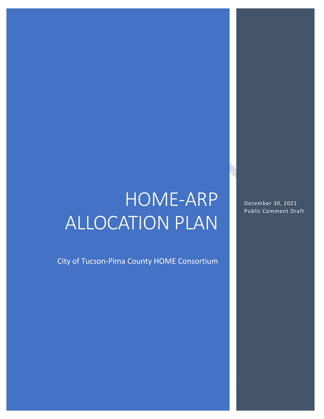# HOME-ARP ALLOCATION PLAN

City of Tucson-Pima County HOME Consortium

December 30, 2021 Public Comment Draft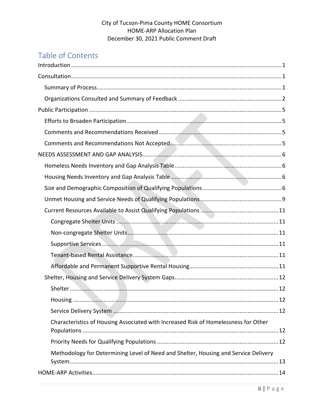# Table of Contents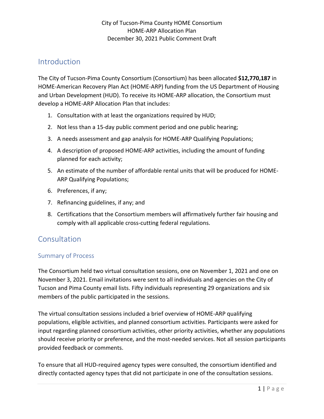# <span id="page-3-0"></span>Introduction

The City of Tucson-Pima County Consortium (Consortium) has been allocated **\$12,770,187** in HOME-American Recovery Plan Act (HOME-ARP) funding from the US Department of Housing and Urban Development (HUD). To receive its HOME-ARP allocation, the Consortium must develop a HOME-ARP Allocation Plan that includes:

- 1. Consultation with at least the organizations required by HUD;
- 2. Not less than a 15-day public comment period and one public hearing;
- 3. A needs assessment and gap analysis for HOME-ARP Qualifying Populations;
- 4. A description of proposed HOME-ARP activities, including the amount of funding planned for each activity;
- 5. An estimate of the number of affordable rental units that will be produced for HOME-ARP Qualifying Populations;
- 6. Preferences, if any;
- 7. Refinancing guidelines, if any; and
- 8. Certifications that the Consortium members will affirmatively further fair housing and comply with all applicable cross-cutting federal regulations.

# <span id="page-3-1"></span>**Consultation**

# <span id="page-3-2"></span>Summary of Process

The Consortium held two virtual consultation sessions, one on November 1, 2021 and one on November 3, 2021. Email invitations were sent to all individuals and agencies on the City of Tucson and Pima County email lists. Fifty individuals representing 29 organizations and six members of the public participated in the sessions.

The virtual consultation sessions included a brief overview of HOME-ARP qualifying populations, eligible activities, and planned consortium activities. Participants were asked for input regarding planned consortium activities, other priority activities, whether any populations should receive priority or preference, and the most-needed services. Not all session participants provided feedback or comments.

To ensure that all HUD-required agency types were consulted, the consortium identified and directly contacted agency types that did not participate in one of the consultation sessions.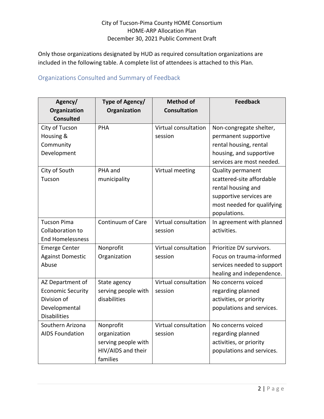Only those organizations designated by HUD as required consultation organizations are included in the following table. A complete list of attendees is attached to this Plan.

# <span id="page-4-0"></span>Organizations Consulted and Summary of Feedback

| Agency/                  | Type of Agency/     | <b>Method of</b>     | <b>Feedback</b>            |
|--------------------------|---------------------|----------------------|----------------------------|
| Organization             | Organization        | <b>Consultation</b>  |                            |
| <b>Consulted</b>         |                     |                      |                            |
| City of Tucson           | PHA                 | Virtual consultation | Non-congregate shelter,    |
| Housing &                |                     | session              | permanent supportive       |
| Community                |                     |                      | rental housing, rental     |
| Development              |                     |                      | housing, and supportive    |
|                          |                     |                      | services are most needed.  |
| City of South            | PHA and             | Virtual meeting      | <b>Quality permanent</b>   |
| Tucson                   | municipality        |                      | scattered-site affordable  |
|                          |                     |                      | rental housing and         |
|                          |                     |                      | supportive services are    |
|                          |                     |                      | most needed for qualifying |
|                          |                     |                      | populations.               |
| <b>Tucson Pima</b>       | Continuum of Care   | Virtual consultation | In agreement with planned  |
| Collaboration to         |                     | session              | activities.                |
| <b>End Homelessness</b>  |                     |                      |                            |
| <b>Emerge Center</b>     | Nonprofit           | Virtual consultation | Prioritize DV survivors.   |
| <b>Against Domestic</b>  | Organization        | session              | Focus on trauma-informed   |
| Abuse                    |                     |                      | services needed to support |
|                          |                     |                      | healing and independence.  |
| AZ Department of         | State agency        | Virtual consultation | No concerns voiced         |
| <b>Economic Security</b> | serving people with | session              | regarding planned          |
| Division of              | disabilities        |                      | activities, or priority    |
| Developmental            |                     |                      | populations and services.  |
| <b>Disabilities</b>      |                     |                      |                            |
| Southern Arizona         | Nonprofit           | Virtual consultation | No concerns voiced         |
| <b>AIDS Foundation</b>   | organization        | session              | regarding planned          |
|                          | serving people with |                      | activities, or priority    |
|                          | HIV/AIDS and their  |                      | populations and services.  |
|                          | families            |                      |                            |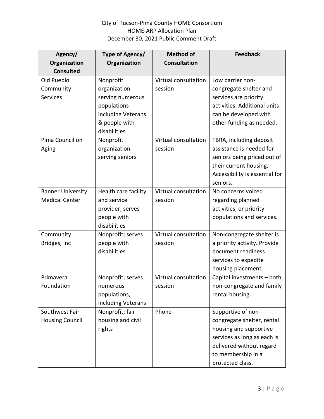| Agency/                  | Type of Agency/      | <b>Method of</b>     | <b>Feedback</b>                |
|--------------------------|----------------------|----------------------|--------------------------------|
| Organization             | Organization         | <b>Consultation</b>  |                                |
| <b>Consulted</b>         |                      |                      |                                |
| Old Pueblo               | Nonprofit            | Virtual consultation | Low barrier non-               |
| Community                | organization         | session              | congregate shelter and         |
| <b>Services</b>          | serving numerous     |                      | services are priority          |
|                          | populations          |                      | activities. Additional units   |
|                          | including Veterans   |                      | can be developed with          |
|                          | & people with        |                      | other funding as needed.       |
|                          | disabilities         |                      |                                |
| Pima Council on          | Nonprofit            | Virtual consultation | TBRA, including deposit        |
| Aging                    | organization         | session              | assistance is needed for       |
|                          | serving seniors      |                      | seniors being priced out of    |
|                          |                      |                      | their current housing.         |
|                          |                      |                      | Accessibility is essential for |
|                          |                      |                      | seniors.                       |
| <b>Banner University</b> | Health care facility | Virtual consultation | No concerns voiced             |
| <b>Medical Center</b>    | and service          | session              | regarding planned              |
|                          | provider; serves     |                      | activities, or priority        |
|                          | people with          |                      | populations and services.      |
|                          | disabilities         |                      |                                |
| Community                | Nonprofit; serves    | Virtual consultation | Non-congregate shelter is      |
| Bridges, Inc             | people with          | session              | a priority activity. Provide   |
|                          | disabilities         |                      | document readiness             |
|                          |                      |                      | services to expedite           |
|                          |                      |                      | housing placement.             |
| Primavera                | Nonprofit; serves    | Virtual consultation | Capital investments - both     |
| Foundation               | numerous             | session              | non-congregate and family      |
|                          | populations,         |                      | rental housing.                |
|                          | including Veterans   |                      |                                |
| Southwest Fair           | Nonprofit; fair      | Phone                | Supportive of non-             |
| <b>Housing Council</b>   | housing and civil    |                      | congregate shelter, rental     |
|                          | rights               |                      | housing and supportive         |
|                          |                      |                      | services as long as each is    |
|                          |                      |                      | delivered without regard       |
|                          |                      |                      | to membership in a             |
|                          |                      |                      | protected class.               |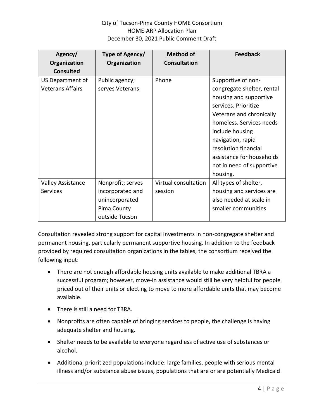| Agency/<br>Organization<br><b>Consulted</b> | Type of Agency/<br>Organization                                                          | <b>Method of</b><br><b>Consultation</b> | <b>Feedback</b>                                                                                                                                                                                                                                                                                  |
|---------------------------------------------|------------------------------------------------------------------------------------------|-----------------------------------------|--------------------------------------------------------------------------------------------------------------------------------------------------------------------------------------------------------------------------------------------------------------------------------------------------|
| US Department of<br><b>Veterans Affairs</b> | Public agency;<br>serves Veterans                                                        | Phone                                   | Supportive of non-<br>congregate shelter, rental<br>housing and supportive<br>services. Prioritize<br>Veterans and chronically<br>homeless. Services needs<br>include housing<br>navigation, rapid<br>resolution financial<br>assistance for households<br>not in need of supportive<br>housing. |
| <b>Valley Assistance</b><br><b>Services</b> | Nonprofit; serves<br>incorporated and<br>unincorporated<br>Pima County<br>outside Tucson | Virtual consultation<br>session         | All types of shelter,<br>housing and services are<br>also needed at scale in<br>smaller communities                                                                                                                                                                                              |

Consultation revealed strong support for capital investments in non-congregate shelter and permanent housing, particularly permanent supportive housing. In addition to the feedback provided by required consultation organizations in the tables, the consortium received the following input:

- There are not enough affordable housing units available to make additional TBRA a successful program; however, move-in assistance would still be very helpful for people priced out of their units or electing to move to more affordable units that may become available.
- There is still a need for TBRA.
- Nonprofits are often capable of bringing services to people, the challenge is having adequate shelter and housing.
- Shelter needs to be available to everyone regardless of active use of substances or alcohol.
- Additional prioritized populations include: large families, people with serious mental illness and/or substance abuse issues, populations that are or are potentially Medicaid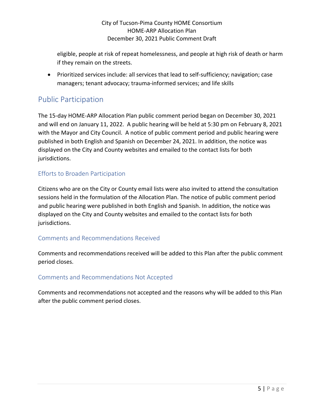eligible, people at risk of repeat homelessness, and people at high risk of death or harm if they remain on the streets.

• Prioritized services include: all services that lead to self-sufficiency; navigation; case managers; tenant advocacy; trauma-informed services; and life skills

# <span id="page-7-0"></span>Public Participation

The 15-day HOME-ARP Allocation Plan public comment period began on December 30, 2021 and will end on January 11, 2022. A public hearing will be held at 5:30 pm on February 8, 2021 with the Mayor and City Council. A notice of public comment period and public hearing were published in both English and Spanish on December 24, 2021. In addition, the notice was displayed on the City and County websites and emailed to the contact lists for both jurisdictions.

# <span id="page-7-1"></span>Efforts to Broaden Participation

Citizens who are on the City or County email lists were also invited to attend the consultation sessions held in the formulation of the Allocation Plan. The notice of public comment period and public hearing were published in both English and Spanish. In addition, the notice was displayed on the City and County websites and emailed to the contact lists for both jurisdictions.

## <span id="page-7-2"></span>Comments and Recommendations Received

Comments and recommendations received will be added to this Plan after the public comment period closes.

## <span id="page-7-3"></span>Comments and Recommendations Not Accepted

Comments and recommendations not accepted and the reasons why will be added to this Plan after the public comment period closes.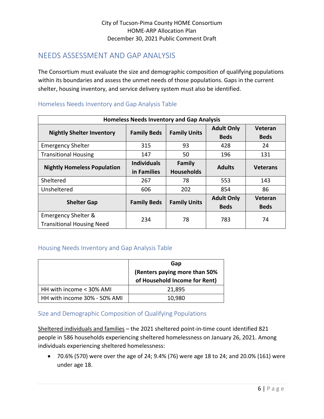# <span id="page-8-0"></span>NEEDS ASSESSMENT AND GAP ANALYSIS

The Consortium must evaluate the size and demographic composition of qualifying populations within its boundaries and assess the unmet needs of those populations. Gaps in the current shelter, housing inventory, and service delivery system must also be identified.

| <b>Homeless Needs Inventory and Gap Analysis</b>        |                                   |                             |                                  |                        |
|---------------------------------------------------------|-----------------------------------|-----------------------------|----------------------------------|------------------------|
| <b>Nightly Shelter Inventory</b>                        | <b>Family Beds</b>                | <b>Family Units</b>         | <b>Adult Only</b><br><b>Beds</b> | Veteran<br><b>Beds</b> |
| <b>Emergency Shelter</b>                                | 315                               | 93                          | 428                              | 24                     |
| <b>Transitional Housing</b>                             | 147                               | 50                          | 196                              | 131                    |
| <b>Nightly Homeless Population</b>                      | <b>Individuals</b><br>in Families | Family<br><b>Households</b> | <b>Adults</b>                    | <b>Veterans</b>        |
| Sheltered                                               | 267                               | 78                          | 553                              | 143                    |
| Unsheltered                                             | 606                               | 202                         | 854                              | 86                     |
| <b>Shelter Gap</b>                                      | <b>Family Beds</b>                | <b>Family Units</b>         | <b>Adult Only</b><br><b>Beds</b> | Veteran<br><b>Beds</b> |
| Emergency Shelter &<br><b>Transitional Housing Need</b> | 234                               | 78                          | 783                              | 74                     |

## <span id="page-8-1"></span>Homeless Needs Inventory and Gap Analysis Table

## <span id="page-8-2"></span>Housing Needs Inventory and Gap Analysis Table

|                              | Gap<br>(Renters paying more than 50%<br>of Household Income for Rent) |
|------------------------------|-----------------------------------------------------------------------|
| HH with income < 30% AMI     | 21,895                                                                |
| HH with income 30% - 50% AMI | 10,980                                                                |

# <span id="page-8-3"></span>Size and Demographic Composition of Qualifying Populations

Sheltered individuals and families – the 2021 sheltered point-in-time count identified 821 people in 586 households experiencing sheltered homelessness on January 26, 2021. Among individuals experiencing sheltered homelessness:

• 70.6% (570) were over the age of 24; 9.4% (76) were age 18 to 24; and 20.0% (161) were under age 18.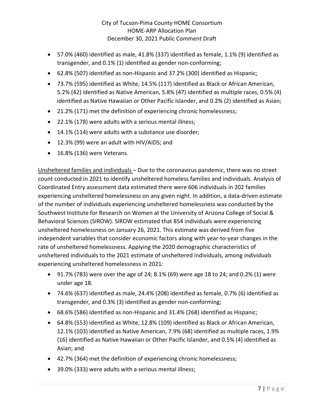- 57.0% (460) identified as male, 41.8% (337) identified as female, 1.1% (9) identified as transgender, and 0.1% (1) identified as gender non-conforming;
- 62.8% (507) identified as non-Hispanic and 37.2% (300) identified as Hispanic;
- 73.7% (595) identified as White, 14.5% (117) identified as Black or African American, 5.2% (42) identified as Native American, 5.8% (47) identified as multiple races, 0.5% (4) identified as Native Hawaiian or Other Pacific Islander, and 0.2% (2) identified as Asian;
- 21.2% (171) met the definition of experiencing chronic homelessness;
- 22.1% (178) were adults with a serious mental illness;
- 14.1% (114) were adults with a substance use disorder;
- 12.3% (99) were an adult with HIV/AIDS; and
- 16.8% (136) were Veterans.

Unsheltered families and individuals – Due to the coronavirus pandemic, there was no street count conducted in 2021 to identify unsheltered homeless families and individuals. Analysis of Coordinated Entry assessment data estimated there were 606 individuals in 202 families experiencing unsheltered homelessness on any given night. In addition, a data-driven estimate of the number of individuals experiencing unsheltered homelessness was conducted by the Southwest Institute for Research on Women at the University of Arizona College of Social & Behavioral Sciences (SIROW). SIROW estimated that 854 individuals were experiencing unsheltered homelessness on January 26, 2021. This estimate was derived from five independent variables that consider economic factors along with year-to-year changes in the rate of unsheltered homelessness. Applying the 2020 demographic characteristics of unsheltered individuals to the 2021 estimate of unsheltered individuals, among *individuals* experiencing unsheltered homelessness in 2021:

- 91.7% (783) were over the age of 24; 8.1% (69) were age 18 to 24; and 0.2% (1) were under age 18.
- 74.6% (637) identified as male, 24.4% (208) identified as female, 0.7% (6) identified as transgender, and 0.3% (3) identified as gender non-conforming;
- 68.6% (586) identified as non-Hispanic and 31.4% (268) identified as Hispanic;
- 64.8% (553) identified as White, 12.8% (109) identified as Black or African American, 12.1% (103) identified as Native American, 7.9% (68) identified as multiple races, 1.9% (16) identified as Native Hawaiian or Other Pacific Islander, and 0.5% (4) identified as Asian; and
- 42.7% (364) met the definition of experiencing chronic homelessness;
- 39.0% (333) were adults with a serious mental illness;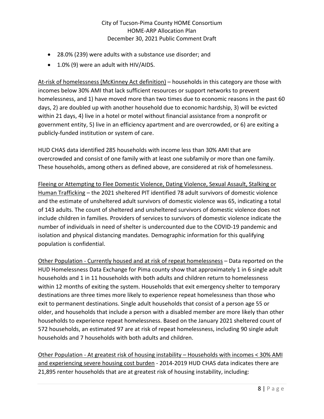- 28.0% (239) were adults with a substance use disorder; and
- 1.0% (9) were an adult with HIV/AIDS.

At-risk of homelessness (McKinney Act definition) – households in this category are those with incomes below 30% AMI that lack sufficient resources or support networks to prevent homelessness, and 1) have moved more than two times due to economic reasons in the past 60 days, 2) are doubled up with another household due to economic hardship, 3) will be evicted within 21 days, 4) live in a hotel or motel without financial assistance from a nonprofit or government entity, 5) live in an efficiency apartment and are overcrowded, or 6) are exiting a publicly-funded institution or system of care.

HUD CHAS data identified 285 households with income less than 30% AMI that are overcrowded and consist of one family with at least one subfamily or more than one family. These households, among others as defined above, are considered at risk of homelessness.

Fleeing or Attempting to Flee Domestic Violence, Dating Violence, Sexual Assault, Stalking or Human Trafficking – the 2021 sheltered PIT identified 78 adult survivors of domestic violence and the estimate of unsheltered adult survivors of domestic violence was 65, indicating a total of 143 adults. The count of sheltered and unsheltered survivors of domestic violence does not include children in families. Providers of services to survivors of domestic violence indicate the number of individuals in need of shelter is undercounted due to the COVID-19 pandemic and isolation and physical distancing mandates. Demographic information for this qualifying population is confidential.

Other Population - Currently housed and at risk of repeat homelessness – Data reported on the HUD Homelessness Data Exchange for Pima county show that approximately 1 in 6 single adult households and 1 in 11 households with both adults and children return to homelessness within 12 months of exiting the system. Households that exit emergency shelter to temporary destinations are three times more likely to experience repeat homelessness than those who exit to permanent destinations. Single adult households that consist of a person age 55 or older, and households that include a person with a disabled member are more likely than other households to experience repeat homelessness. Based on the January 2021 sheltered count of 572 households, an estimated 97 are at risk of repeat homelessness, including 90 single adult households and 7 households with both adults and children.

Other Population - At greatest risk of housing instability – Households with incomes < 30% AMI and experiencing severe housing cost burden - 2014-2019 HUD CHAS data indicates there are 21,895 renter households that are at greatest risk of housing instability, including: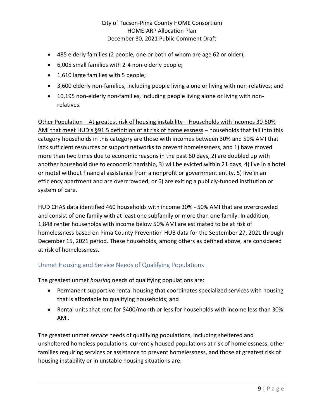- 485 elderly families (2 people, one or both of whom are age 62 or older);
- 6,005 small families with 2-4 non-elderly people;
- 1,610 large families with 5 people;
- 3,600 elderly non-families, including people living alone or living with non-relatives; and
- 10,195 non-elderly non-families, including people living alone or living with nonrelatives.

Other Population – At greatest risk of housing instability – Households with incomes 30-50% AMI that meet HUD's §91.5 definition of at risk of homelessness – households that fall into this category households in this category are those with incomes between 30% and 50% AMI that lack sufficient resources or support networks to prevent homelessness, and 1) have moved more than two times due to economic reasons in the past 60 days, 2) are doubled up with another household due to economic hardship, 3) will be evicted within 21 days, 4) live in a hotel or motel without financial assistance from a nonprofit or government entity, 5) live in an efficiency apartment and are overcrowded, or 6) are exiting a publicly-funded institution or system of care.

HUD CHAS data identified 460 households with income 30% - 50% AMI that are overcrowded and consist of one family with at least one subfamily or more than one family. In addition, 1,848 renter households with income below 50% AMI are estimated to be at risk of homelessness based on Pima County Prevention HUB data for the September 27, 2021 through December 15, 2021 period. These households, among others as defined above, are considered at risk of homelessness.

# <span id="page-11-0"></span>Unmet Housing and Service Needs of Qualifying Populations

The greatest unmet *housing* needs of qualifying populations are:

- Permanent supportive rental housing that coordinates specialized services with housing that is affordable to qualifying households; and
- Rental units that rent for \$400/month or less for households with income less than 30% AMI.

The greatest unmet *service* needs of qualifying populations, including sheltered and unsheltered homeless populations, currently housed populations at risk of homelessness, other families requiring services or assistance to prevent homelessness, and those at greatest risk of housing instability or in unstable housing situations are: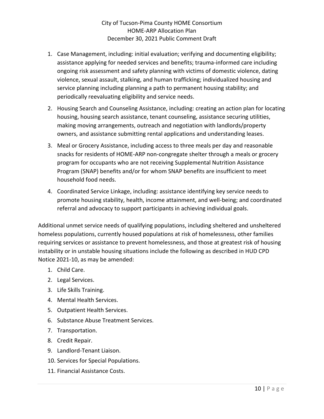- 1. Case Management, including: initial evaluation; verifying and documenting eligibility; assistance applying for needed services and benefits; trauma-informed care including ongoing risk assessment and safety planning with victims of domestic violence, dating violence, sexual assault, stalking, and human trafficking; individualized housing and service planning including planning a path to permanent housing stability; and periodically reevaluating eligibility and service needs.
- 2. Housing Search and Counseling Assistance, including: creating an action plan for locating housing, housing search assistance, tenant counseling, assistance securing utilities, making moving arrangements, outreach and negotiation with landlords/property owners, and assistance submitting rental applications and understanding leases.
- 3. Meal or Grocery Assistance, including access to three meals per day and reasonable snacks for residents of HOME-ARP non-congregate shelter through a meals or grocery program for occupants who are not receiving Supplemental Nutrition Assistance Program (SNAP) benefits and/or for whom SNAP benefits are insufficient to meet household food needs.
- 4. Coordinated Service Linkage, including: assistance identifying key service needs to promote housing stability, health, income attainment, and well-being; and coordinated referral and advocacy to support participants in achieving individual goals.

Additional unmet service needs of qualifying populations, including sheltered and unsheltered homeless populations, currently housed populations at risk of homelessness, other families requiring services or assistance to prevent homelessness, and those at greatest risk of housing instability or in unstable housing situations include the following as described in HUD CPD Notice 2021-10, as may be amended:

- 1. Child Care.
- 2. Legal Services.
- 3. Life Skills Training.
- 4. Mental Health Services.
- 5. Outpatient Health Services.
- 6. Substance Abuse Treatment Services.
- 7. Transportation.
- 8. Credit Repair.
- 9. Landlord-Tenant Liaison.
- 10. Services for Special Populations.
- 11. Financial Assistance Costs.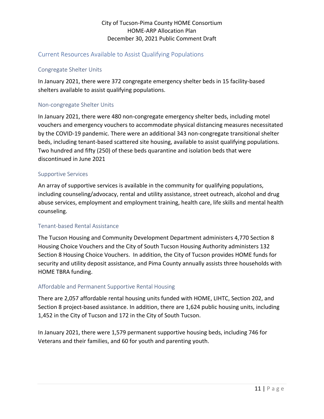# <span id="page-13-0"></span>Current Resources Available to Assist Qualifying Populations

#### <span id="page-13-1"></span>Congregate Shelter Units

In January 2021, there were 372 congregate emergency shelter beds in 15 facility-based shelters available to assist qualifying populations.

#### <span id="page-13-2"></span>Non-congregate Shelter Units

In January 2021, there were 480 non-congregate emergency shelter beds, including motel vouchers and emergency vouchers to accommodate physical distancing measures necessitated by the COVID-19 pandemic. There were an additional 343 non-congregate transitional shelter beds, including tenant-based scattered site housing, available to assist qualifying populations. Two hundred and fifty (250) of these beds quarantine and isolation beds that were discontinued in June 2021

#### <span id="page-13-3"></span>Supportive Services

An array of supportive services is available in the community for qualifying populations, including counseling/advocacy, rental and utility assistance, street outreach, alcohol and drug abuse services, employment and employment training, health care, life skills and mental health counseling.

#### <span id="page-13-4"></span>Tenant-based Rental Assistance

The Tucson Housing and Community Development Department administers 4,770 Section 8 Housing Choice Vouchers and the City of South Tucson Housing Authority administers 132 Section 8 Housing Choice Vouchers. In addition, the City of Tucson provides HOME funds for security and utility deposit assistance, and Pima County annually assists three households with HOME TBRA funding.

## <span id="page-13-5"></span>Affordable and Permanent Supportive Rental Housing

There are 2,057 affordable rental housing units funded with HOME, LIHTC, Section 202, and Section 8 project-based assistance. In addition, there are 1,624 public housing units, including 1,452 in the City of Tucson and 172 in the City of South Tucson.

In January 2021, there were 1,579 permanent supportive housing beds, including 746 for Veterans and their families, and 60 for youth and parenting youth.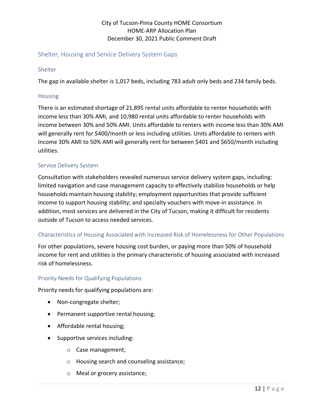# <span id="page-14-0"></span>Shelter, Housing and Service Delivery System Gaps

#### <span id="page-14-1"></span>Shelter

The gap in available shelter is 1,017 beds, including 783 adult only beds and 234 family beds.

#### <span id="page-14-2"></span>Housing

There is an estimated shortage of 21,895 rental units affordable to renter households with income less than 30% AMI, and 10,980 rental units affordable to renter households with income between 30% and 50% AMI. Units affordable to renters with income less than 30% AMI will generally rent for \$400/month or less including utilities. Units affordable to renters with income 30% AMI to 50% AMI will generally rent for between \$401 and \$650/month including utilities.

#### <span id="page-14-3"></span>Service Delivery System

Consultation with stakeholders revealed numerous service delivery system gaps, including: limited navigation and case management capacity to effectively stabilize households or help households maintain housing stability; employment opportunities that provide sufficient income to support housing stability; and specialty vouchers with move-in assistance. In addition, most services are delivered in the City of Tucson, making it difficult for residents outside of Tucson to access needed services.

## <span id="page-14-4"></span>Characteristics of Housing Associated with Increased Risk of Homelessness for Other Populations

For other populations, severe housing cost burden, or paying more than 50% of household income for rent and utilities is the primary characteristic of housing associated with increased risk of homelessness.

#### <span id="page-14-5"></span>Priority Needs for Qualifying Populations

Priority needs for qualifying populations are:

- Non-congregate shelter;
- Permanent supportive rental housing;
- Affordable rental housing;
- Supportive services including:
	- o Case management;
	- o Housing search and counseling assistance;
	- o Meal or grocery assistance;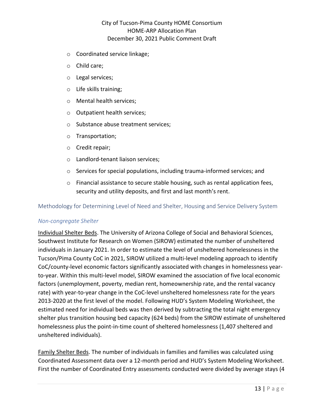- o Coordinated service linkage;
- o Child care;
- o Legal services;
- o Life skills training;
- o Mental health services;
- o Outpatient health services;
- o Substance abuse treatment services;
- o Transportation;
- o Credit repair;
- o Landlord-tenant liaison services;
- o Services for special populations, including trauma-informed services; and
- o Financial assistance to secure stable housing, such as rental application fees, security and utility deposits, and first and last month's rent.

#### <span id="page-15-0"></span>Methodology for Determining Level of Need and Shelter, Housing and Service Delivery System

#### *Non-congregate Shelter*

Individual Shelter Beds. The University of Arizona College of Social and Behavioral Sciences, Southwest Institute for Research on Women (SIROW) estimated the number of unsheltered individuals in January 2021. In order to estimate the level of unsheltered homelessness in the Tucson/Pima County CoC in 2021, SIROW utilized a multi-level modeling approach to identify CoC/county-level economic factors significantly associated with changes in homelessness yearto-year. Within this multi-level model, SIROW examined the association of five local economic factors (unemployment, poverty, median rent, homeownership rate, and the rental vacancy rate) with year-to-year change in the CoC-level unsheltered homelessness rate for the years 2013-2020 at the first level of the model. Following HUD's System Modeling Worksheet, the estimated need for individual beds was then derived by subtracting the total night emergency shelter plus transition housing bed capacity (624 beds) from the SIROW estimate of unsheltered homelessness plus the point-in-time count of sheltered homelessness (1,407 sheltered and unsheltered individuals).

Family Shelter Beds. The number of individuals in families and families was calculated using Coordinated Assessment data over a 12-month period and HUD's System Modeling Worksheet. First the number of Coordinated Entry assessments conducted were divided by average stays (4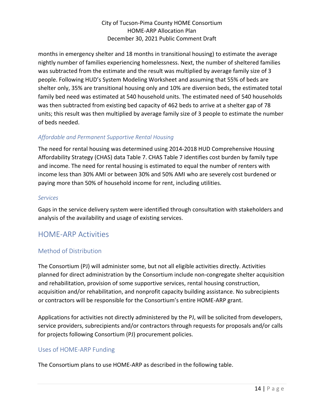months in emergency shelter and 18 months in transitional housing) to estimate the average nightly number of families experiencing homelessness. Next, the number of sheltered families was subtracted from the estimate and the result was multiplied by average family size of 3 people. Following HUD's System Modeling Worksheet and assuming that 55% of beds are shelter only, 35% are transitional housing only and 10% are diversion beds, the estimated total family bed need was estimated at 540 household units. The estimated need of 540 households was then subtracted from existing bed capacity of 462 beds to arrive at a shelter gap of 78 units; this result was then multiplied by average family size of 3 people to estimate the number of beds needed.

# *Affordable and Permanent Supportive Rental Housing*

The need for rental housing was determined using 2014-2018 HUD Comprehensive Housing Affordability Strategy (CHAS) data Table 7. CHAS Table 7 identifies cost burden by family type and income. The need for rental housing is estimated to equal the number of renters with income less than 30% AMI or between 30% and 50% AMI who are severely cost burdened or paying more than 50% of household income for rent, including utilities.

#### *Services*

Gaps in the service delivery system were identified through consultation with stakeholders and analysis of the availability and usage of existing services.

# <span id="page-16-0"></span>HOME-ARP Activities

# <span id="page-16-1"></span>Method of Distribution

The Consortium (PJ) will administer some, but not all eligible activities directly. Activities planned for direct administration by the Consortium include non-congregate shelter acquisition and rehabilitation, provision of some supportive services, rental housing construction, acquisition and/or rehabilitation, and nonprofit capacity building assistance. No subrecipients or contractors will be responsible for the Consortium's entire HOME-ARP grant.

Applications for activities not directly administered by the PJ, will be solicited from developers, service providers, subrecipients and/or contractors through requests for proposals and/or calls for projects following Consortium (PJ) procurement policies.

## <span id="page-16-2"></span>Uses of HOME-ARP Funding

The Consortium plans to use HOME-ARP as described in the following table.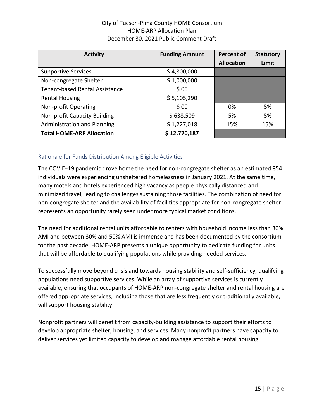| <b>Activity</b>                       | <b>Funding Amount</b> | <b>Percent of</b> | <b>Statutory</b> |
|---------------------------------------|-----------------------|-------------------|------------------|
|                                       |                       | <b>Allocation</b> | Limit            |
| <b>Supportive Services</b>            | \$4,800,000           |                   |                  |
| Non-congregate Shelter                | \$1,000,000           |                   |                  |
| <b>Tenant-based Rental Assistance</b> | \$00                  |                   |                  |
| <b>Rental Housing</b>                 | \$5,105,290           |                   |                  |
| Non-profit Operating                  | \$00                  | 0%                | 5%               |
| Non-profit Capacity Building          | \$638,509             | 5%                | 5%               |
| <b>Administration and Planning</b>    | \$1,227,018           | 15%               | 15%              |
| <b>Total HOME-ARP Allocation</b>      | \$12,770,187          |                   |                  |

## <span id="page-17-0"></span>Rationale for Funds Distribution Among Eligible Activities

The COVID-19 pandemic drove home the need for non-congregate shelter as an estimated 854 individuals were experiencing unsheltered homelessness in January 2021. At the same time, many motels and hotels experienced high vacancy as people physically distanced and minimized travel, leading to challenges sustaining those facilities. The combination of need for non-congregate shelter and the availability of facilities appropriate for non-congregate shelter represents an opportunity rarely seen under more typical market conditions.

The need for additional rental units affordable to renters with household income less than 30% AMI and between 30% and 50% AMI is immense and has been documented by the consortium for the past decade. HOME-ARP presents a unique opportunity to dedicate funding for units that will be affordable to qualifying populations while providing needed services.

To successfully move beyond crisis and towards housing stability and self-sufficiency, qualifying populations need supportive services. While an array of supportive services is currently available, ensuring that occupants of HOME-ARP non-congregate shelter and rental housing are offered appropriate services, including those that are less frequently or traditionally available, will support housing stability.

Nonprofit partners will benefit from capacity-building assistance to support their efforts to develop appropriate shelter, housing, and services. Many nonprofit partners have capacity to deliver services yet limited capacity to develop and manage affordable rental housing.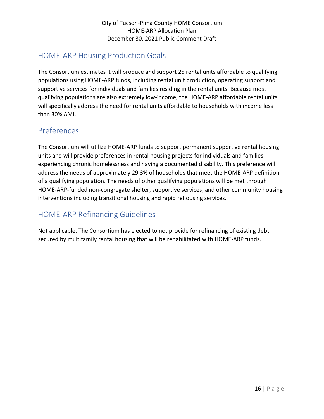# <span id="page-18-0"></span>HOME-ARP Housing Production Goals

The Consortium estimates it will produce and support 25 rental units affordable to qualifying populations using HOME-ARP funds, including rental unit production, operating support and supportive services for individuals and families residing in the rental units. Because most qualifying populations are also extremely low-income, the HOME-ARP affordable rental units will specifically address the need for rental units affordable to households with income less than 30% AMI.

# <span id="page-18-1"></span>Preferences

The Consortium will utilize HOME-ARP funds to support permanent supportive rental housing units and will provide preferences in rental housing projects for individuals and families experiencing chronic homelessness and having a documented disability. This preference will address the needs of approximately 29.3% of households that meet the HOME-ARP definition of a qualifying population. The needs of other qualifying populations will be met through HOME-ARP-funded non-congregate shelter, supportive services, and other community housing interventions including transitional housing and rapid rehousing services.

# <span id="page-18-2"></span>HOME-ARP Refinancing Guidelines

Not applicable. The Consortium has elected to not provide for refinancing of existing debt secured by multifamily rental housing that will be rehabilitated with HOME-ARP funds.